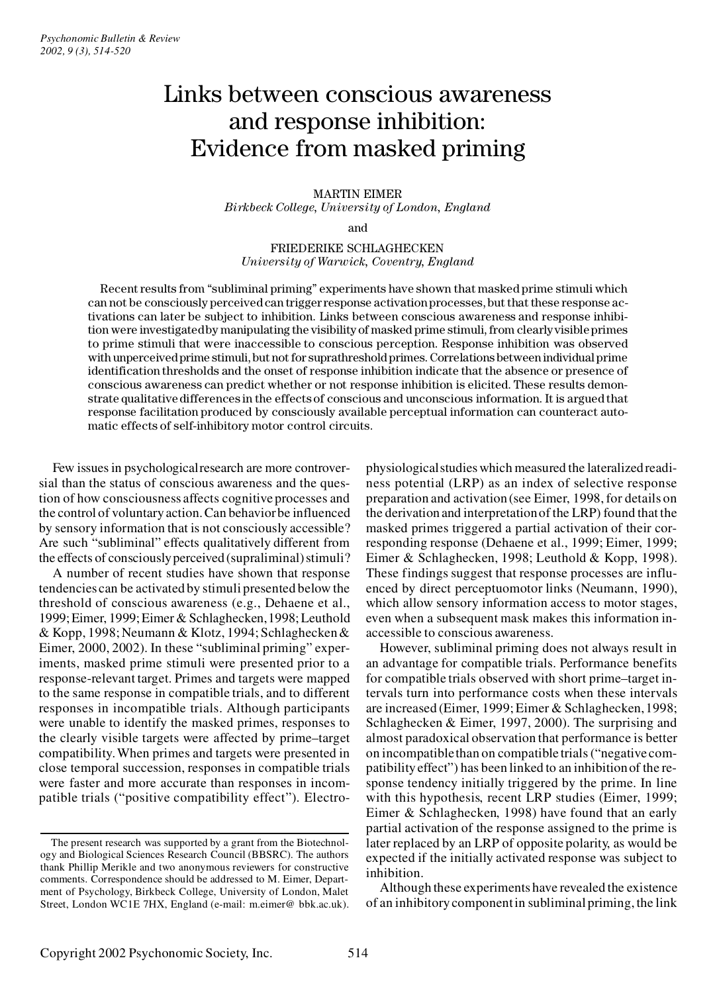# Links between conscious awareness and response inhibition: Evidence from masked priming

### MARTIN EIMER *Birkbeck College, University of London, England*

and

### FRIEDERIKE SCHLAGHECKEN *University of Warwick, Coventry, England*

Recent results from "subliminal priming" experiments have shown that masked prime stimuli which can not be consciously perceived can trigger response activation processes, but that these response activations can later be subject to inhibition. Links between conscious awareness and response inhibition were investigated by manipulating the visibility of masked prime stimuli, from clearly visible primes to prime stimuli that were inaccessible to conscious perception. Response inhibition was observed with unperceived prime stimuli, but not for suprathreshold primes. Correlations between individual prime identification thresholds and the onset of response inhibition indicate that the absence or presence of conscious awareness can predict whether or not response inhibition is elicited. These results demonstrate qualitative differences in the effects of conscious and unconscious information. It is argued that response facilitation produced by consciously available perceptual information can counteract automatic effects of self-inhibitory motor control circuits.

Few issues in psychological research are more controversial than the status of conscious awareness and the question of how consciousness affects cognitive processes and the control of voluntary action. Can behavior be influenced by sensory information that is not consciously accessible? Are such "subliminal" effects qualitatively different from the effects of consciously perceived (supraliminal) stimuli?

A number of recent studies have shown that response tendencies can be activated by stimuli presented below the threshold of conscious awareness (e.g., Dehaene et al., 1999; Eimer, 1999; Eimer & Schlaghecken, 1998; Leuthold & Kopp, 1998; Neumann & Klotz, 1994; Schlaghecken & Eimer, 2000, 2002). In these "subliminal priming" experiments, masked prime stimuli were presented prior to a response-relevant target. Primes and targets were mapped to the same response in compatible trials, and to different responses in incompatible trials. Although participants were unable to identify the masked primes, responses to the clearly visible targets were affected by prime–target compatibility. When primes and targets were presented in close temporal succession, responses in compatible trials were faster and more accurate than responses in incompatible trials ("positive compatibility effect"). Electro-

physiological studies which measured the lateralized readiness potential (LRP) as an index of selective response preparation and activation (see Eimer, 1998, for details on the derivation and interpretation of the LRP) found that the masked primes triggered a partial activation of their corresponding response (Dehaene et al., 1999; Eimer, 1999; Eimer & Schlaghecken, 1998; Leuthold & Kopp, 1998). These findings suggest that response processes are influenced by direct perceptuomotor links (Neumann, 1990), which allow sensory information access to motor stages, even when a subsequent mask makes this information inaccessible to conscious awareness.

However, subliminal priming does not always result in an advantage for compatible trials. Performance benefits for compatible trials observed with short prime–target intervals turn into performance costs when these intervals are increased (Eimer, 1999; Eimer & Schlaghecken, 1998; Schlaghecken & Eimer, 1997, 2000). The surprising and almost paradoxical observation that performance is better on incompatible than on compatible trials ("negative compatibility effect") has been linked to an inhibition of the response tendency initially triggered by the prime. In line with this hypothesis, recent LRP studies (Eimer, 1999; Eimer & Schlaghecken, 1998) have found that an early partial activation of the response assigned to the prime is later replaced by an LRP of opposite polarity, as would be expected if the initially activated response was subject to inhibition.

Although these experiments have revealed the existence of an inhibitory component in subliminal priming, the link

The present research was supported by a grant from the Biotechnology and Biological Sciences Research Council (BBSRC). The authors thank Phillip Merikle and two anonymous reviewers for constructive comments. Correspondence should be addressed to M. Eimer, Department of Psychology, Birkbeck College, University of London, Malet Street, London WC1E 7HX, England (e-mail: m.eimer@ bbk.ac.uk).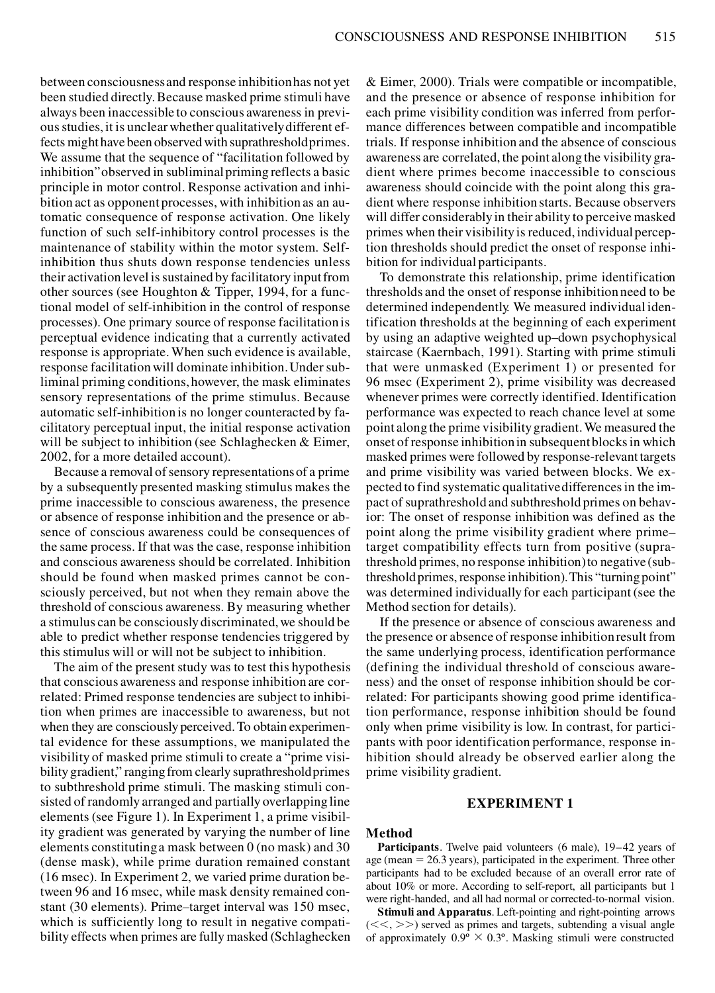between consciousness and response inhibition has not yet been studied directly. Because masked prime stimuli have always been inaccessible to conscious awareness in previous studies, it is unclear whether qualitatively different effects might have been observed with suprathreshold primes. We assume that the sequence of "facilitation followed by inhibition"observed in subliminal priming reflects a basic principle in motor control. Response activation and inhibition act as opponent processes, with inhibition as an automatic consequence of response activation. One likely function of such self-inhibitory control processes is the maintenance of stability within the motor system. Selfinhibition thus shuts down response tendencies unless their activation level is sustained by facilitatory input from other sources (see Houghton & Tipper, 1994, for a functional model of self-inhibition in the control of response processes). One primary source of response facilitation is perceptual evidence indicating that a currently activated response is appropriate. When such evidence is available, response facilitation will dominate inhibition. Under subliminal priming conditions, however, the mask eliminates sensory representations of the prime stimulus. Because automatic self-inhibition is no longer counteracted by facilitatory perceptual input, the initial response activation will be subject to inhibition (see Schlaghecken & Eimer, 2002, for a more detailed account).

Because a removal of sensory representations of a prime by a subsequently presented masking stimulus makes the prime inaccessible to conscious awareness, the presence or absence of response inhibition and the presence or absence of conscious awareness could be consequences of the same process. If that was the case, response inhibition and conscious awareness should be correlated. Inhibition should be found when masked primes cannot be consciously perceived, but not when they remain above the threshold of conscious awareness. By measuring whether a stimulus can be consciously discriminated, we should be able to predict whether response tendencies triggered by this stimulus will or will not be subject to inhibition.

The aim of the present study was to test this hypothesis that conscious awareness and response inhibition are correlated: Primed response tendencies are subject to inhibition when primes are inaccessible to awareness, but not when they are consciously perceived. To obtain experimental evidence for these assumptions, we manipulated the visibility of masked prime stimuli to create a "prime visibility gradient," ranging from clearly suprathreshold primes to subthreshold prime stimuli. The masking stimuli consisted of randomly arranged and partially overlapping line elements (see Figure 1). In Experiment 1, a prime visibility gradient was generated by varying the number of line elements constituting a mask between 0 (no mask) and 30 (dense mask), while prime duration remained constant (16 msec). In Experiment 2, we varied prime duration between 96 and 16 msec, while mask density remained constant (30 elements). Prime–target interval was 150 msec, which is sufficiently long to result in negative compatibility effects when primes are fully masked (Schlaghecken

& Eimer, 2000). Trials were compatible or incompatible, and the presence or absence of response inhibition for each prime visibility condition was inferred from performance differences between compatible and incompatible trials. If response inhibition and the absence of conscious awareness are correlated, the point along the visibility gradient where primes become inaccessible to conscious awareness should coincide with the point along this gradient where response inhibition starts. Because observers will differ considerably in their ability to perceive masked primes when their visibility is reduced, individual perception thresholds should predict the onset of response inhibition for individual participants.

To demonstrate this relationship, prime identification thresholds and the onset of response inhibition need to be determined independently. We measured individual identification thresholds at the beginning of each experiment by using an adaptive weighted up–down psychophysical staircase (Kaernbach, 1991). Starting with prime stimuli that were unmasked (Experiment 1) or presented for 96 msec (Experiment 2), prime visibility was decreased whenever primes were correctly identified. Identification performance was expected to reach chance level at some point along the prime visibility gradient. We measured the onset of response inhibition in subsequent blocks in which masked primes were followed by response-relevant targets and prime visibility was varied between blocks. We expected to find systematic qualitative differences in the impact of suprathreshold and subthreshold primes on behavior: The onset of response inhibition was defined as the point along the prime visibility gradient where prime– target compatibility effects turn from positive (suprathreshold primes, no response inhibition) to negative (subthreshold primes, response inhibition). This "turning point" was determined individually for each participant (see the Method section for details).

If the presence or absence of conscious awareness and the presence or absence of response inhibition result from the same underlying process, identification performance (defining the individual threshold of conscious awareness) and the onset of response inhibition should be correlated: For participants showing good prime identification performance, response inhibition should be found only when prime visibility is low. In contrast, for participants with poor identification performance, response inhibition should already be observed earlier along the prime visibility gradient.

# **EXPERIMENT 1**

#### **Method**

**Participants**. Twelve paid volunteers (6 male), 19–42 years of age (mean  $= 26.3$  years), participated in the experiment. Three other participants had to be excluded because of an overall error rate of about 10% or more. According to self-report, all participants but 1 were right-handed, and all had normal or corrected-to-normal vision.

**Stimuli and Apparatus**. Left-pointing and right-pointing arrows  $(<, >>$ ) served as primes and targets, subtending a visual angle of approximately  $0.9^{\circ} \times 0.3^{\circ}$ . Masking stimuli were constructed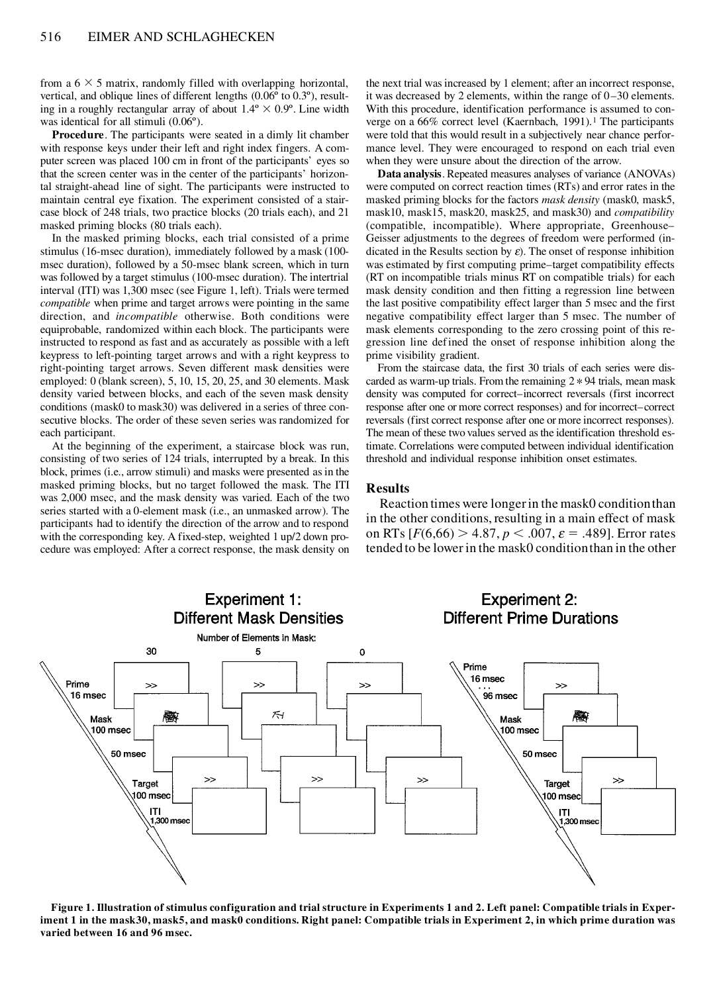from a  $6 \times 5$  matrix, randomly filled with overlapping horizontal, vertical, and oblique lines of different lengths (0.06º to 0.3º), resulting in a roughly rectangular array of about  $1.4^{\circ} \times 0.9^{\circ}$ . Line width was identical for all stimuli (0.06º).

**Procedure**. The participants were seated in a dimly lit chamber with response keys under their left and right index fingers. A com puter screen was placed 100 cm in front of the participants' eyes so that the screen center was in the center of the participants' horizontal straight-ahead line of sight. The participants were instructed to maintain central eye fixation. The experiment consisted of a stair case block of 248 trials, two practice blocks (20 trials each), and 21 masked priming blocks (80 trials each).

In the masked priming blocks, each trial consisted of a prime stimulus (16-msec duration), immediately followed by a mask (100 msec duration), followed by a 50-msec blank screen, which in turn was followed by a target stimulus (100-msec duration). The intertrial interval (ITI) was 1,300 msec (see Figure 1, left). Trials were termed *compatible* when prime and target arrows were pointing in the same direction, and *incompatible* otherwise. Both conditions were equiprobable, randomized within each block. The participants were instructed to respond as fast and as accurately as possible with a left keypress to left-pointing target arrows and with a right keypress to right-pointing target arrows. Seven different mask densities were employed: 0 (blank screen), 5, 10, 15, 20, 25, and 30 elements. Mask density varied between blocks, and each of the seven mask density conditions (mask0 to mask30) was delivered in a series of three consecutive blocks. The order of these seven series was randomized for each participant.

At the beginning of the experiment, a staircase block was run, consisting of two series of 124 trials, interrupted by a break. In this block, primes (i.e., arrow stimuli) and masks were presented as in the masked priming blocks, but no target followed the mask. The ITI was 2,000 msec, and the mask density was varied. Each of the two series started with a 0-element mask (i.e., an unmasked arrow). The participants had to identify the direction of the arrow and to respond with the corresponding key. A fixed-step, weighted 1 up/2 down procedure was employed: After a correct response, the mask density on

the next trial was increased by 1 element; after an incorrect response, it was decreased by 2 elements, within the range of 0–30 elements. With this procedure, identification performance is assumed to con verge on a  $66\%$  correct level (Kaernbach, 1991).<sup>1</sup> The participants were told that this would result in a subjectively near chance perfor mance level. They were encouraged to respond on each trial even when they were unsure about the direction of the arrow.

**Data analysis**. Repeated measures analyses of variance (ANOVAs) were computed on correct reaction times (RTs) and error rates in the masked priming blocks for the factors *mask density* (mask0, mask5, mask10, mask15, mask20, mask25, and mask30) and *compatibility* (compatible, incompatible). Where appropriate, Greenhouse– Geisser adjustments to the degrees of freedom were performed (indicated in the Results section by  $\varepsilon$ ). The onset of response inhibition was estimated by first computing prime–target compatibility effects (RT on incompatible trials minus RT on compatible trials) for each mask density condition and then fitting a regression line between the last positive compatibility effect larger than 5 msec and the first negative compatibility effect larger than 5 msec. The number of mask elements corresponding to the zero crossing point of this re gression line defined the onset of response inhibition along the prime visibility gradient.

From the staircase data, the first 30 trials of each series were discarded as warm-up trials. From the remaining  $2 * 94$  trials, mean mask density was computed for correct–incorrect reversals (first incorrect response after one or more correct responses) and for incorrect–correct reversals (first correct response after one or more incorrect responses). The mean of these two values served as the identification threshold estimate. Correlations were computed between individual identification threshold and individual response inhibition onset estimates.

## **Results**

Reaction times were longer in the mask0 condition than in the other conditions, resulting in a main effect of mask on RTs  $[F(6,66) > 4.87, p < .007, \varepsilon = .489]$ . Error rates tended to be lower in the mask0 condition than in the other



**Figure 1. Illustration of stimulus configuration and trial structure in Experiments 1 and 2. Left panel: Compatible trials in Experiment 1 in the mask30, mask5, and mask0 conditions. Right panel: Compatible trials in Experiment 2, in which prime duration was varied between 16 and 96 msec.**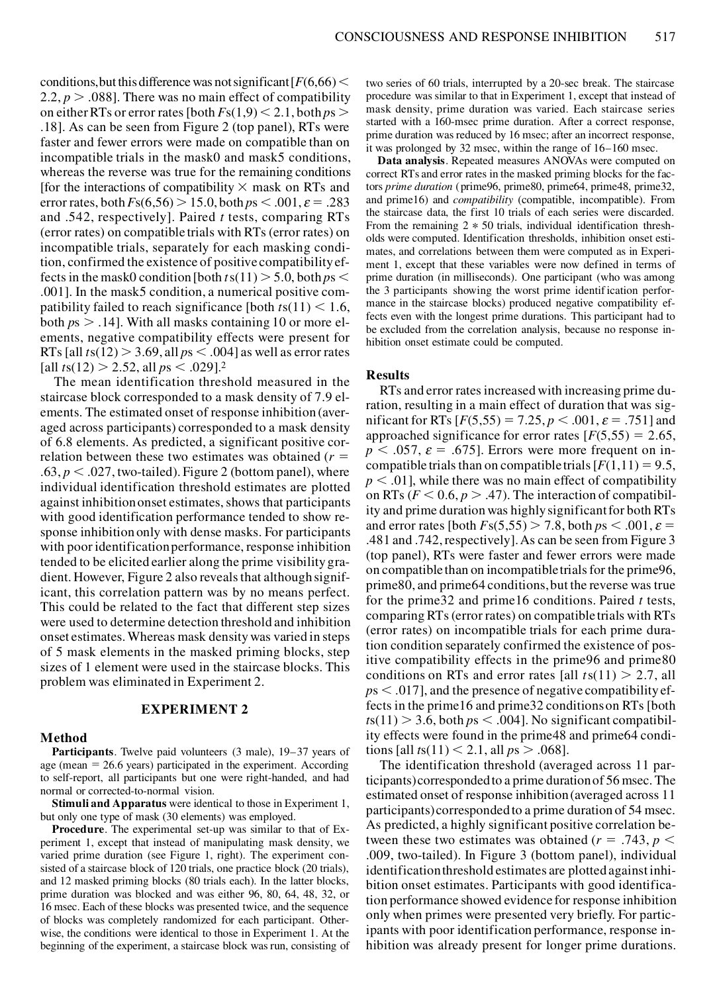conditions, but this difference was not significant  $\frac{F(6,66)}{ }$ 2.2,  $p > .088$ . There was no main effect of compatibility on either RTs or error rates [both  $Fs(1,9) < 2.1$ , both  $ps >$ .18]. As can be seen from Figure 2 (top panel), RTs were faster and fewer errors were made on compatible than on incompatible trials in the mask0 and mask5 conditions, whereas the reverse was true for the remaining conditions [for the interactions of compatibility  $\times$  mask on RTs and error rates, both  $Fs(6,56) > 15.0$ , both  $ps < .001$ ,  $\varepsilon = .283$ and .542, respectively]. Paired *t* tests, comparing RTs (error rates) on compatible trials with RTs (error rates) on incompatible trials, separately for each masking condition, confirmed the existence of positive compatibility effects in the mask0 condition [both  $t s(11) > 5.0$ , both  $p s <$ .001]. In the mask5 condition, a numerical positive compatibility failed to reach significance [both  $t s(11) < 1.6$ , both  $ps > .14$ ]. With all masks containing 10 or more elements, negative compatibility effects were present for RTs [all  $t s(12) > 3.69$ , all  $ps < .004$ ] as well as error rates [all  $t s(12) > 2.52$ , all  $p s < .029$ ].<sup>2</sup>

The mean identification threshold measured in the staircase block corresponded to a mask density of 7.9 elements. The estimated onset of response inhibition (averaged across participants) corresponded to a mask density of 6.8 elements. As predicted, a significant positive correlation between these two estimates was obtained  $(r =$  $.63, p < .027$ , two-tailed). Figure 2 (bottom panel), where individual identification threshold estimates are plotted against inhibition onset estimates, shows that participants with good identification performance tended to show response inhibition only with dense masks. For participants with poor identificationperformance, response inhibition tended to be elicited earlier along the prime visibility gradient. However, Figure 2 also reveals that although significant, this correlation pattern was by no means perfect. This could be related to the fact that different step sizes were used to determine detection threshold and inhibition onset estimates. Whereas mask density was varied in steps of 5 mask elements in the masked priming blocks, step sizes of 1 element were used in the staircase blocks. This problem was eliminated in Experiment 2.

# **EXPERIMENT 2**

#### **Method**

**Participants**. Twelve paid volunteers (3 male), 19–37 years of age (mean  $= 26.6$  years) participated in the experiment. According to self-report, all participants but one were right-handed, and had normal or corrected-to-normal vision.

**Stimuli and Apparatus** were identical to those in Experiment 1, but only one type of mask (30 elements) was employed.

**Procedure**. The experimental set-up was similar to that of Experiment 1, except that instead of manipulating mask density, we varied prime duration (see Figure 1, right). The experiment con sisted of a staircase block of 120 trials, one practice block (20 trials), and 12 masked priming blocks (80 trials each). In the latter blocks, prime duration was blocked and was either 96, 80, 64, 48, 32, or 16 msec. Each of these blocks was presented twice, and the sequence of blocks was completely randomized for each participant. Otherwise, the conditions were identical to those in Experiment 1. At the beginning of the experiment, a staircase block was run, consisting of

two series of 60 trials, interrupted by a 20-sec break. The staircase procedure was similar to that in Experiment 1, except that instead of mask density, prime duration was varied. Each staircase series started with a 160-msec prime duration. After a correct response, prime duration was reduced by 16 msec; after an incorrect response, it was prolonged by 32 msec, within the range of 16–160 msec.

**Data analysis**. Repeated measures ANOVAs were computed on correct RTs and error rates in the masked priming blocks for the factors *prime duration* (prime96, prime80, prime64, prime48, prime32, and prime16) and *compatibility* (compatible, incompatible). From the staircase data, the first 10 trials of each series were discarded. From the remaining  $2 * 50$  trials, individual identification thresholds were computed. Identification thresholds, inhibition onset estimates, and correlations between them were computed as in Experiment 1, except that these variables were now defined in terms of prime duration (in milliseconds). One participant (who was among the 3 participants showing the worst prime identification perfor mance in the staircase blocks) produced negative compatibility effects even with the longest prime durations. This participant had to be excluded from the correlation analysis, because no response inhibition onset estimate could be computed.

#### **Results**

RTs and error rates increased with increasing prime duration, resulting in a main effect of duration that was significant for RTs  $[F(5,55) = 7.25, p < .001, \varepsilon = .751]$  and approached significance for error rates  $F(5,55) = 2.65$ ,  $p < .057$ ,  $\varepsilon = .675$ . Errors were more frequent on incompatible trials than on compatible trials  $[F(1,11) = 9.5]$ ,  $p < .01$ , while there was no main effect of compatibility on RTs ( $F < 0.6$ ,  $p > .47$ ). The interaction of compatibility and prime duration was highly significant for both RTs and error rates [both  $F_s(5,55) > 7.8$ , both  $ps < .001$ ,  $\varepsilon$  = .481 and .742, respectively]. As can be seen from Figure 3 (top panel), RTs were faster and fewer errors were made on compatible than on incompatible trials for the prime96, prime80, and prime64 conditions, but the reverse was true for the prime32 and prime16 conditions. Paired *t* tests, comparing RTs (error rates) on compatible trials with RTs (error rates) on incompatible trials for each prime duration condition separately confirmed the existence of positive compatibility effects in the prime96 and prime80 conditions on RTs and error rates [all  $ts(11) > 2.7$ , all  $p<sub>5</sub>$  (0.017), and the presence of negative compatibility effects in the prime16 and prime32 conditions on RTs [both  $t s(11) > 3.6$ , both  $p s < .004$ . No significant compatibility effects were found in the prime48 and prime64 conditions [all  $t s(11) < 2.1$ , all  $p s > .068$ ].

The identification threshold (averaged across 11 participants) corresponded to a prime duration of 56 msec. The estimated onset of response inhibition (averaged across 11 participants) corresponded to a prime duration of 54 msec. As predicted, a highly significant positive correlation between these two estimates was obtained ( $r = .743$ ,  $p <$ .009, two-tailed). In Figure 3 (bottom panel), individual identificationthreshold estimates are plotted against inhibition onset estimates. Participants with good identification performance showed evidence for response inhibition only when primes were presented very briefly. For participants with poor identification performance, response inhibition was already present for longer prime durations.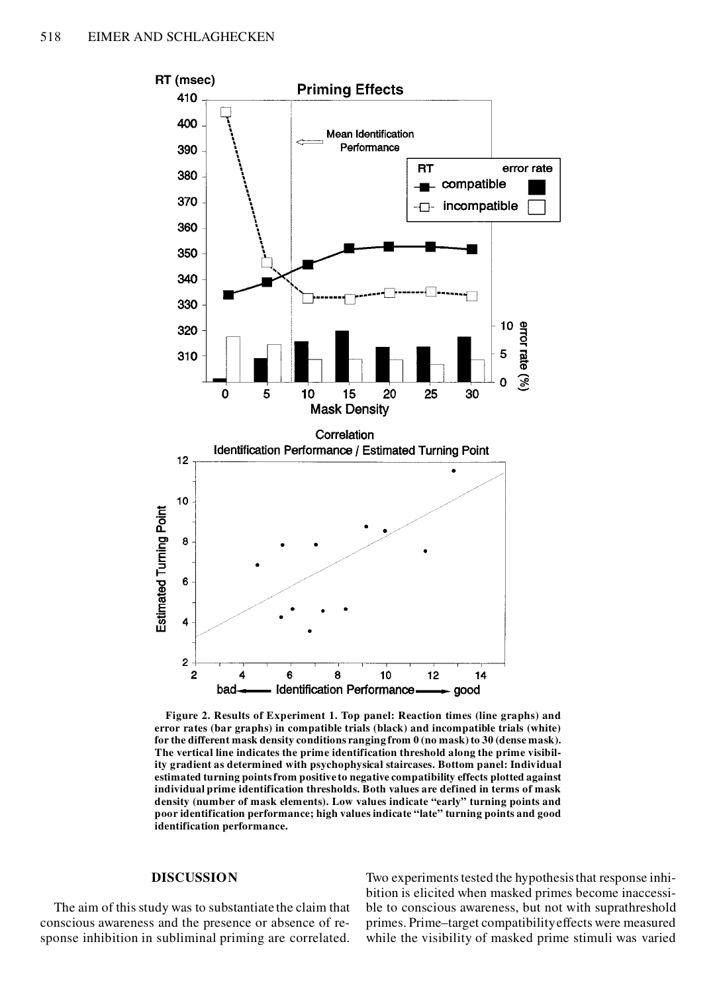

**Figure 2. Results of Experiment 1. Top panel: Reaction times (line graphs) and error rates (bar graphs) in compatible trials (black) and incompatible trials (white) for the different mask density conditions ranging from 0 (no mask) to 30 (dense mask). The vertical line indicates the prime identification threshold along the prime visibility gradient as determined with psychophysical staircases. Bottom panel: Individual estimated turning points from positive to negative compatibility effects plotted against individual prime identification thresholds. Both values are defined in terms of mask density (number of mask elements). Low values indicate "early" turning points and poor identification performance; high values indicate "late" turning points and good identification performance.**

## **DISCUSSION**

The aim of this study was to substantiate the claim that conscious awareness and the presence or absence of response inhibition in subliminal priming are correlated.

Two experiments tested the hypothesis that response inhibition is elicited when masked primes become inaccessible to conscious awareness, but not with suprathreshold primes. Prime–target compatibility effects were measured while the visibility of masked prime stimuli was varied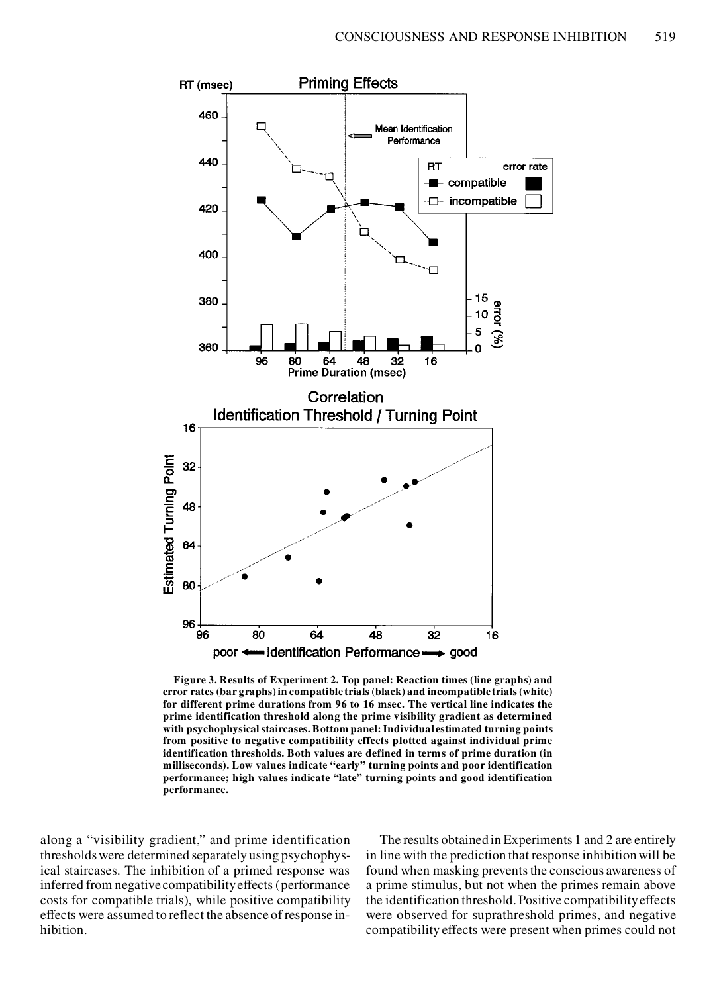

**Figure 3. Results of Experiment 2. Top panel: Reaction times (line graphs) and error rates (bar graphs) in compatible trials (black) and incompatible trials (white) for different prime durations from 96 to 16 msec. The vertical line indicates the prime identification threshold along the prime visibility gradient as determined with psychophysical staircases. Bottom panel: Individual estimated turning points from positive to negative compatibility effects plotted against individual prime identification thresholds. Both values are defined in terms of prime duration (in milliseconds). Low values indicate "early" turning points and poor identification performance; high values indicate "late" turning points and good identification performance.**

along a "visibility gradient," and prime identification thresholds were determined separately using psychophysical staircases. The inhibition of a primed response was inferred from negative compatibility effects (performance costs for compatible trials), while positive compatibility effects were assumed to reflect the absence of response inhibition.

The results obtained in Experiments 1 and 2 are entirely in line with the prediction that response inhibition will be found when masking prevents the conscious awareness of a prime stimulus, but not when the primes remain above the identification threshold. Positive compatibility effects were observed for suprathreshold primes, and negative compatibility effects were present when primes could not